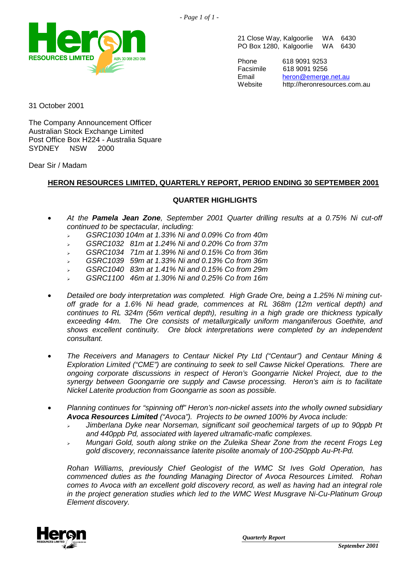

21 Close Way, Kalgoorlie WA 6430 PO Box 1280, Kalgoorlie WA 6430

Phone 618 9091 9253 Facsimile 618 9091 9256 Email [heron@emerge.net.au](mailto:heron@emerge.net.au)<br>
Website http://heronresources.c http://heronresources.com.au

31 October 2001

The Company Announcement Officer Australian Stock Exchange Limited Post Office Box H224 - Australia Square SYDNEY NSW 2000

Dear Sir / Madam

# **HERON RESOURCES LIMITED, QUARTERLY REPORT, PERIOD ENDING 30 SEPTEMBER 2001**

# **QUARTER HIGHLIGHTS**

- - *At the Pamela Jean Zone, September 2001 Quarter drilling results at a 0.75% Ni cut-off continued to be spectacular, including:*
	- -*GSRC1030 104m at 1.33% Ni and 0.09% Co from 40m*
	- -*GSRC1032 81m at 1.24% Ni and 0.20% Co from 37m*
	- -*GSRC1034 71m at 1.39% Ni and 0.15% Co from 36m*
	- -*GSRC1039 59m at 1.33% Ni and 0.13% Co from 36m*
	- -*GSRC1040 83m at 1.41% Ni and 0.15% Co from 29m*
	- -*GSRC1100 46m at 1.30% Ni and 0.25% Co from 16m*
- - *Detailed ore body interpretation was completed. High Grade Ore, being a 1.25% Ni mining cutoff grade for a 1.6% Ni head grade, commences at RL 368m (12m vertical depth) and continues to RL 324m (56m vertical depth), resulting in a high grade ore thickness typically exceeding 44m. The Ore consists of metallurgically uniform manganiferous Goethite, and shows excellent continuity. Ore block interpretations were completed by an independent consultant.*
- - *The Receivers and Managers to Centaur Nickel Pty Ltd ("Centaur") and Centaur Mining & Exploration Limited ("CME") are continuing to seek to sell Cawse Nickel Operations. There are ongoing corporate discussions in respect of Heron's Goongarrie Nickel Project, due to the synergy between Goongarrie ore supply and Cawse processing. Heron's aim is to facilitate Nickel Laterite production from Goongarrie as soon as possible.*
- - *Planning continues for "spinning off" Heron's non-nickel assets into the wholly owned subsidiary Avoca Resources Limited ("Avoca"). Projects to be owned 100% by Avoca include:*
	- - *Jimberlana Dyke near Norseman, significant soil geochemical targets of up to 90ppb Pt and 440ppb Pd, associated with layered ultramafic-mafic complexes.*
	- - *Mungari Gold, south along strike on the Zuleika Shear Zone from the recent Frogs Leg gold discovery, reconnaissance laterite pisolite anomaly of 100-250ppb Au-Pt-Pd.*

*Rohan Williams, previously Chief Geologist of the WMC St Ives Gold Operation, has commenced duties as the founding Managing Director of Avoca Resources Limited. Rohan comes to Avoca with an excellent gold discovery record, as well as having had an integral role in the project generation studies which led to the WMC West Musgrave Ni-Cu-Platinum Group Element discovery.*

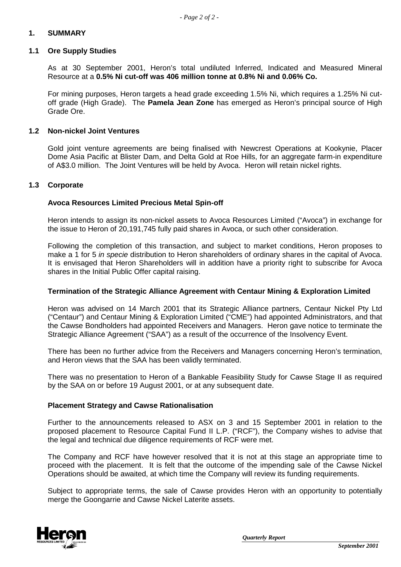## **1. SUMMARY**

#### **1.1 Ore Supply Studies**

As at 30 September 2001, Heron's total undiluted Inferred, Indicated and Measured Mineral Resource at a **0.5% Ni cut-off was 406 million tonne at 0.8% Ni and 0.06% Co.** 

For mining purposes, Heron targets a head grade exceeding 1.5% Ni, which requires a 1.25% Ni cutoff grade (High Grade). The **Pamela Jean Zone** has emerged as Heron's principal source of High Grade Ore.

#### **1.2 Non-nickel Joint Ventures**

Gold joint venture agreements are being finalised with Newcrest Operations at Kookynie, Placer Dome Asia Pacific at Blister Dam, and Delta Gold at Roe Hills, for an aggregate farm-in expenditure of A\$3.0 million. The Joint Ventures will be held by Avoca. Heron will retain nickel rights.

#### **1.3 Corporate**

#### **Avoca Resources Limited Precious Metal Spin-off**

Heron intends to assign its non-nickel assets to Avoca Resources Limited ("Avoca") in exchange for the issue to Heron of 20,191,745 fully paid shares in Avoca, or such other consideration.

Following the completion of this transaction, and subject to market conditions, Heron proposes to make a 1 for 5 *in specie* distribution to Heron shareholders of ordinary shares in the capital of Avoca. It is envisaged that Heron Shareholders will in addition have a priority right to subscribe for Avoca shares in the Initial Public Offer capital raising.

#### **Termination of the Strategic Alliance Agreement with Centaur Mining & Exploration Limited**

Heron was advised on 14 March 2001 that its Strategic Alliance partners, Centaur Nickel Pty Ltd ("Centaur") and Centaur Mining & Exploration Limited ("CME") had appointed Administrators, and that the Cawse Bondholders had appointed Receivers and Managers. Heron gave notice to terminate the Strategic Alliance Agreement ("SAA") as a result of the occurrence of the Insolvency Event.

There has been no further advice from the Receivers and Managers concerning Heron's termination, and Heron views that the SAA has been validly terminated.

There was no presentation to Heron of a Bankable Feasibility Study for Cawse Stage II as required by the SAA on or before 19 August 2001, or at any subsequent date.

#### **Placement Strategy and Cawse Rationalisation**

Further to the announcements released to ASX on 3 and 15 September 2001 in relation to the proposed placement to Resource Capital Fund II L.P. ("RCF"), the Company wishes to advise that the legal and technical due diligence requirements of RCF were met.

The Company and RCF have however resolved that it is not at this stage an appropriate time to proceed with the placement. It is felt that the outcome of the impending sale of the Cawse Nickel Operations should be awaited, at which time the Company will review its funding requirements.

Subject to appropriate terms, the sale of Cawse provides Heron with an opportunity to potentially merge the Goongarrie and Cawse Nickel Laterite assets.

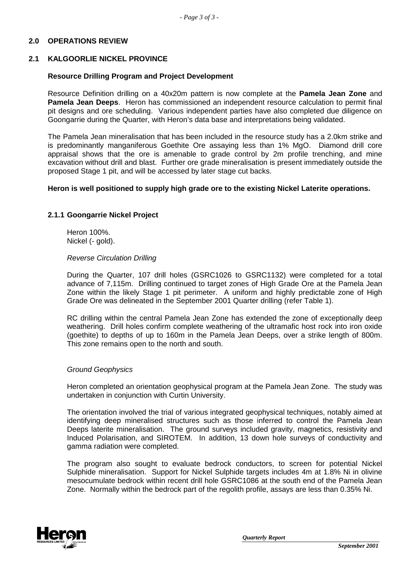# **2.0 OPERATIONS REVIEW**

### **2.1 KALGOORLIE NICKEL PROVINCE**

### **Resource Drilling Program and Project Development**

Resource Definition drilling on a 40x20m pattern is now complete at the **Pamela Jean Zone** and **Pamela Jean Deeps**. Heron has commissioned an independent resource calculation to permit final pit designs and ore scheduling. Various independent parties have also completed due diligence on Goongarrie during the Quarter, with Heron's data base and interpretations being validated.

The Pamela Jean mineralisation that has been included in the resource study has a 2.0km strike and is predominantly manganiferous Goethite Ore assaying less than 1% MgO. Diamond drill core appraisal shows that the ore is amenable to grade control by 2m profile trenching, and mine excavation without drill and blast. Further ore grade mineralisation is present immediately outside the proposed Stage 1 pit, and will be accessed by later stage cut backs.

#### **Heron is well positioned to supply high grade ore to the existing Nickel Laterite operations.**

### **2.1.1 Goongarrie Nickel Project**

Heron 100%. Nickel (- gold).

#### *Reverse Circulation Drilling*

During the Quarter, 107 drill holes (GSRC1026 to GSRC1132) were completed for a total advance of 7,115m. Drilling continued to target zones of High Grade Ore at the Pamela Jean Zone within the likely Stage 1 pit perimeter. A uniform and highly predictable zone of High Grade Ore was delineated in the September 2001 Quarter drilling (refer Table 1).

RC drilling within the central Pamela Jean Zone has extended the zone of exceptionally deep weathering. Drill holes confirm complete weathering of the ultramafic host rock into iron oxide (goethite) to depths of up to 160m in the Pamela Jean Deeps, over a strike length of 800m. This zone remains open to the north and south.

#### *Ground Geophysics*

Heron completed an orientation geophysical program at the Pamela Jean Zone. The study was undertaken in conjunction with Curtin University.

The orientation involved the trial of various integrated geophysical techniques, notably aimed at identifying deep mineralised structures such as those inferred to control the Pamela Jean Deeps laterite mineralisation. The ground surveys included gravity, magnetics, resistivity and Induced Polarisation, and SIROTEM. In addition, 13 down hole surveys of conductivity and gamma radiation were completed.

The program also sought to evaluate bedrock conductors, to screen for potential Nickel Sulphide mineralisation. Support for Nickel Sulphide targets includes 4m at 1.8% Ni in olivine mesocumulate bedrock within recent drill hole GSRC1086 at the south end of the Pamela Jean Zone. Normally within the bedrock part of the regolith profile, assays are less than 0.35% Ni.

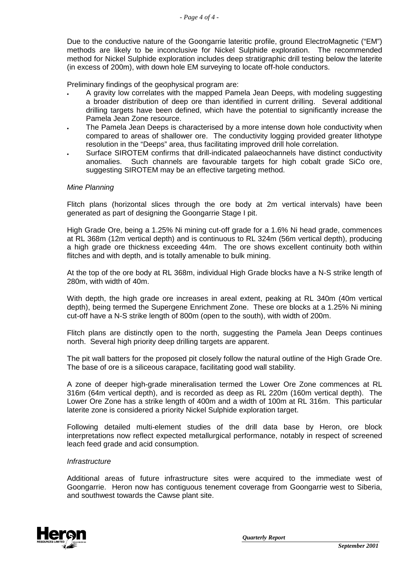Due to the conductive nature of the Goongarrie lateritic profile, ground ElectroMagnetic ("EM") methods are likely to be inconclusive for Nickel Sulphide exploration. The recommended method for Nickel Sulphide exploration includes deep stratigraphic drill testing below the laterite (in excess of 200m), with down hole EM surveying to locate off-hole conductors.

Preliminary findings of the geophysical program are:

- A gravity low correlates with the mapped Pamela Jean Deeps, with modeling suggesting a broader distribution of deep ore than identified in current drilling. Several additional drilling targets have been defined, which have the potential to significantly increase the Pamela Jean Zone resource. -
- -The Pamela Jean Deeps is characterised by a more intense down hole conductivity when compared to areas of shallower ore. The conductivity logging provided greater lithotype resolution in the "Deeps" area, thus facilitating improved drill hole correlation.
- -Surface SIROTEM confirms that drill-indicated palaeochannels have distinct conductivity anomalies. Such channels are favourable targets for high cobalt grade SiCo ore, suggesting SIROTEM may be an effective targeting method.

#### *Mine Planning*

Flitch plans (horizontal slices through the ore body at 2m vertical intervals) have been generated as part of designing the Goongarrie Stage I pit.

High Grade Ore, being a 1.25% Ni mining cut-off grade for a 1.6% Ni head grade, commences at RL 368m (12m vertical depth) and is continuous to RL 324m (56m vertical depth), producing a high grade ore thickness exceeding 44m. The ore shows excellent continuity both within flitches and with depth, and is totally amenable to bulk mining.

At the top of the ore body at RL 368m, individual High Grade blocks have a N-S strike length of 280m, with width of 40m.

With depth, the high grade ore increases in areal extent, peaking at RL 340m (40m vertical depth), being termed the Supergene Enrichment Zone. These ore blocks at a 1.25% Ni mining cut-off have a N-S strike length of 800m (open to the south), with width of 200m.

Flitch plans are distinctly open to the north, suggesting the Pamela Jean Deeps continues north. Several high priority deep drilling targets are apparent.

The pit wall batters for the proposed pit closely follow the natural outline of the High Grade Ore. The base of ore is a siliceous carapace, facilitating good wall stability.

A zone of deeper high-grade mineralisation termed the Lower Ore Zone commences at RL 316m (64m vertical depth), and is recorded as deep as RL 220m (160m vertical depth). The Lower Ore Zone has a strike length of 400m and a width of 100m at RL 316m. This particular laterite zone is considered a priority Nickel Sulphide exploration target.

Following detailed multi-element studies of the drill data base by Heron, ore block interpretations now reflect expected metallurgical performance, notably in respect of screened leach feed grade and acid consumption.

#### *Infrastructure*

Additional areas of future infrastructure sites were acquired to the immediate west of Goongarrie. Heron now has contiguous tenement coverage from Goongarrie west to Siberia, and southwest towards the Cawse plant site.

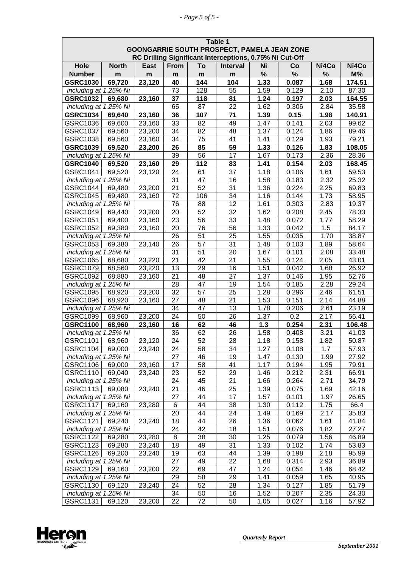|                                   | Table 1      |             |                 |                 |                                                         |              |                |              |                |
|-----------------------------------|--------------|-------------|-----------------|-----------------|---------------------------------------------------------|--------------|----------------|--------------|----------------|
|                                   |              |             |                 |                 | GOONGARRIE SOUTH PROSPECT, PAMELA JEAN ZONE             |              |                |              |                |
|                                   |              |             |                 |                 | RC Drilling Significant Interceptions, 0.75% Ni Cut-Off |              |                |              |                |
| Hole                              | <b>North</b> | <b>East</b> | <b>From</b>     | To              | <b>Interval</b>                                         | Ni           | Co             | Ni4Co        | Ni4Co          |
| <b>Number</b>                     | m            | m           | m               | m               | m                                                       | $\%$         | $\%$           | %            | $M\%$          |
| <b>GSRC1030</b>                   | 69,720       | 23,120      | 40              | 144             | 104                                                     | 1.33         | 0.087          | 1.68         | 174.51         |
| including at 1.25% Ni             |              |             | 73              | 128             | 55                                                      | 1.59         | 0.129          | 2.10         | 87.30          |
| <b>GSRC1032</b>                   | 69,680       | 23,160      | 37              | 118             | 81                                                      | 1.24         | 0.197          | 2.03         | 164.55         |
| including at 1.25% Ni             |              |             | 65              | 87              | 22                                                      | 1.62         | 0.306          | 2.84         | 35.58          |
| <b>GSRC1034</b>                   | 69,640       | 23,160      | 36              | 107             | 71                                                      | 1.39         | 0.15           | 1.98         | 140.91         |
| GSRC1036                          | 69,600       | 23,160      | 33              | 82              | 49                                                      | 1.47         | 0.141          | 2.03         | 99.62          |
| <b>GSRC1037</b>                   | 69,560       | 23,200      | 34              | 82              | 48                                                      | 1.37         | 0.124          | 1.86         | 89.46          |
| <b>GSRC1038</b>                   | 69,560       | 23,160      | 34              | $\overline{75}$ | 41                                                      | 1.41         | 0.129          | 1.93         | 79.21          |
| <b>GSRC1039</b>                   | 69,520       | 23,200      | 26              | 85              | 59                                                      | 1.33         | 0.126          | 1.83         | 108.05         |
| including at 1.25% Ni             |              |             | 39              | 56              | $\overline{17}$                                         | 1.67         | 0.173          | 2.36         | 28.36          |
| <b>GSRC1040</b>                   | 69,520       | 23,160      | 29              | 112             | 83                                                      | 1.41         | 0.154          | 2.03         | 168.45         |
| GSRC1041                          | 69,520       | 23,120      | 24              | 61              | 37                                                      | 1.18         | 0.106          | 1.61         | 59.53          |
| including at 1.25% Ni             |              |             | 31              | 47              | 16                                                      | 1.58         | 0.183          | 2.32         | 25.32          |
| <b>GSRC1044</b>                   | 69,480       | 23,200      | 21              | 52              | 31                                                      | 1.36         | 0.224          | 2.25         | 69.83          |
| <b>GSRC1045</b>                   | 69,480       | 23,160      | 72              | 106             | 34                                                      | 1.16         | 0.144          | 1.73         | 58.95          |
| including at 1.25% Ni             |              |             | 76              | 88              | 12                                                      | 1.61         | 0.303          | 2.83         | 19.37          |
| <b>GSRC1049</b>                   | 69,440       | 23,200      | 20              | 52              | 32                                                      | 1.62         | 0.208          | 2.45         | 78.33          |
| GSRC1051                          | 69,400       | 23,160      | 23              | 56              | $\overline{33}$                                         | 1.48         | 0.072          | 1.77         | 58.29          |
| <b>GSRC1052</b>                   | 69,380       | 23,160      | 20              | 76              | $\overline{56}$                                         | 1.33         | 0.042          | 1.5          | 84.17          |
| including at 1.25% Ni             |              |             | 26              | 51              | 25                                                      | 1.55         | 0.035          | 1.70         | 38.87          |
| GSRC1053                          | 69,380       | 23,140      | 26              | 57              | 31                                                      | 1.48         | 0.103          | 1.89         | 58.64          |
| including at 1.25% Ni             |              |             | 31              | 51              | 20                                                      | 1.67         | 0.101          | 2.08         | 33.48          |
| GSRC1065                          | 68,680       | 23,220      | $\overline{21}$ | 42              | 21                                                      | 1.55         | 0.124          | 2.05         | 43.01          |
| GSRC1079                          | 68,560       | 23,220      | 13              | 29              | 16                                                      | 1.51         | 0.042          | 1.68         | 26.92          |
| GSRC1092                          | 68,880       | 23,160      | 21              | 48              | 27                                                      | 1.37         | 0.146          | 1.95         | 52.76          |
| including at 1.25% Ni             |              |             | 28              | 47              | 19                                                      | 1.54         | 0.185          | 2.28         | 29.24          |
| GSRC1095                          | 68,920       | 23,200      | $\overline{32}$ | 57              | 25                                                      | 1.28         | 0.296          | 2.46         | 61.51          |
| GSRC1096                          | 68,920       | 23,160      | $\overline{27}$ | 48              | $\overline{21}$                                         | 1.53         | 0.151          | 2.14         | 44.88          |
| including at 1.25% Ni             |              |             | 34              | 47              | 13                                                      | 1.78         | 0.206          | 2.61         | 23.19          |
| GSRC1099                          | 68,960       | 23,200      | 24              | 50              | 26                                                      | 1.37         | 0.2            | 2.17         | 56.41          |
| <b>GSRC1100</b>                   | 68,960       | 23,160      | 16              | 62              | 46                                                      | 1.3          | 0.254          | 2.31         | 106.48         |
| including at 1.25% Ni             |              |             | 36              | 62              | 26                                                      | 1.58         | 0.408          | 3.21         | 41.03          |
| GSRC1101                          | 68,960       | 23,120      | $\overline{24}$ | 52              | $\overline{28}$                                         | 1.18         | 0.158          | 1.82         | 50.87          |
| <b>GSRC1104</b>                   | 69,000       | 23,240      | 24              | 58              | 34                                                      | 1.27         | 0.108          | 1.7          | 57.93          |
| including at 1.25% Ni             |              |             | 27              | 46              | 19                                                      | 1.47         | 0.130          | 1.99         | 27.92          |
| GSRC1106                          | 69,000       | 23,160      | 17              | 58              | 41                                                      | 1.17         | 0.194          | 1.95         | 79.91          |
| GSRC1110                          | 69,040       | 23,240      | 23              | 52              | 29                                                      | 1.46         | 0.212          | 2.31         | 66.91          |
| including at 1.25% Ni             |              |             | 24              | 45              | 21                                                      | 1.66         | 0.264          | 2.71         | 34.79          |
| GSRC1113                          | 69,080       | 23,240      | 21              | 46              | 25                                                      | 1.39         | 0.075          | 1.69         | 42.16          |
| including at 1.25% Ni             |              |             | 27              | 44              | 17                                                      | 1.57         | 0.101          | 1.97         | 26.65          |
| GSRC1117                          | 69,160       | 23,280      | 6               | 44              | 38                                                      | 1.30         | 0.112          | 1.75         | 66.4           |
| including at 1.25% Ni             |              |             | 20              | 44              | 24                                                      | 1.49         | 0.169          | 2.17         | 35.83          |
| <b>GSRC1121</b>                   | 69,240       | 23,240      | 18              | 44              | 26                                                      | 1.36         | 0.062          | 1.61         | 41.84          |
| including at 1.25% Ni             |              |             | 24              | 42              | 18                                                      | 1.51         | 0.076          | 1.82         | 27.27          |
| <b>GSRC1122</b>                   | 69,280       | 23,280      | 8               | 38              | 30                                                      | 1.25         | 0.079          | 1.56         | 46.89          |
| GSRC1123                          | 69,280       | 23,240      | 18              | 49              | 31                                                      | 1.33         | 0.102          | 1.74         | 53.83          |
| GSRC1126                          | 69,200       | 23,240      | 19              | 63              | 44                                                      | 1.39         | 0.198          | 2.18         | 95.99          |
| including at 1.25% Ni             |              |             | 27<br>22        | 49              | 22                                                      | 1.68         | 0.314          | 2.93         | 36.89          |
| GSRC1129<br>including at 1.25% Ni | 69,160       | 23,200      | 29              | 69<br>58        | 47<br>29                                                | 1.24<br>1.41 | 0.054<br>0.059 | 1.46<br>1.65 | 68.42          |
| GSRC1130                          | 69,120       | 23,240      | 24              | 52              | 28                                                      | 1.34         | 0.127          | 1.85         | 40.95<br>51.79 |
| including at 1.25% Ni             |              |             | 34              | 50              | 16                                                      | 1.52         | 0.207          | 2.35         | 24.30          |
| GSRC1131                          | 69,120       | 23,200      | 22              | 72              | 50                                                      | 1.05         | 0.027          | 1.16         | 57.92          |
|                                   |              |             |                 |                 |                                                         |              |                |              |                |

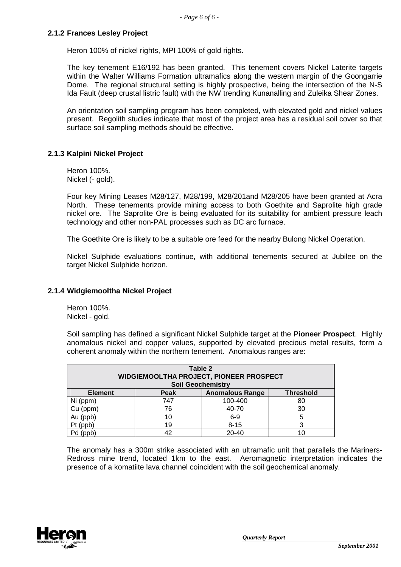### **2.1.2 Frances Lesley Project**

Heron 100% of nickel rights, MPI 100% of gold rights.

The key tenement E16/192 has been granted. This tenement covers Nickel Laterite targets within the Walter Williams Formation ultramafics along the western margin of the Goongarrie Dome. The regional structural setting is highly prospective, being the intersection of the N-S Ida Fault (deep crustal listric fault) with the NW trending Kunanalling and Zuleika Shear Zones.

An orientation soil sampling program has been completed, with elevated gold and nickel values present. Regolith studies indicate that most of the project area has a residual soil cover so that surface soil sampling methods should be effective.

### **2.1.3 Kalpini Nickel Project**

Heron 100%. Nickel (- gold).

Four key Mining Leases M28/127, M28/199, M28/201and M28/205 have been granted at Acra North. These tenements provide mining access to both Goethite and Saprolite high grade nickel ore. The Saprolite Ore is being evaluated for its suitability for ambient pressure leach technology and other non-PAL processes such as DC arc furnace.

The Goethite Ore is likely to be a suitable ore feed for the nearby Bulong Nickel Operation.

Nickel Sulphide evaluations continue, with additional tenements secured at Jubilee on the target Nickel Sulphide horizon.

### **2.1.4 Widgiemooltha Nickel Project**

Heron 100%. Nickel - gold.

Soil sampling has defined a significant Nickel Sulphide target at the **Pioneer Prospect**. Highly anomalous nickel and copper values, supported by elevated precious metal results, form a coherent anomaly within the northern tenement. Anomalous ranges are:

| Table 2<br>WIDGIEMOOLTHA PROJECT, PIONEER PROSPECT<br><b>Soil Geochemistry</b> |     |           |    |  |  |
|--------------------------------------------------------------------------------|-----|-----------|----|--|--|
| Peak<br><b>Anomalous Range</b><br><b>Threshold</b><br><b>Element</b>           |     |           |    |  |  |
| Ni (ppm)                                                                       | 747 | 100-400   | 80 |  |  |
| $Cu$ (ppm)                                                                     | 76  | 40-70     | 30 |  |  |
| Au (ppb)                                                                       | 10  | $6-9$     | 5  |  |  |
| Pt (ppb)                                                                       | 19  | $8 - 15$  | 3  |  |  |
|                                                                                | 42  | $20 - 40$ |    |  |  |

The anomaly has a 300m strike associated with an ultramafic unit that parallels the Mariners-Redross mine trend, located 1km to the east. Aeromagnetic interpretation indicates the presence of a komatiite lava channel coincident with the soil geochemical anomaly.

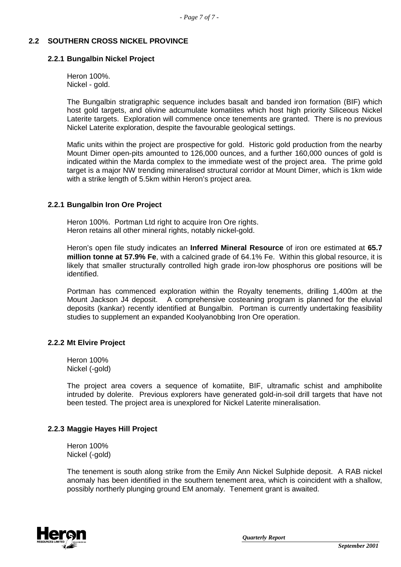## **2.2 SOUTHERN CROSS NICKEL PROVINCE**

#### **2.2.1 Bungalbin Nickel Project**

Heron 100%. Nickel - gold.

The Bungalbin stratigraphic sequence includes basalt and banded iron formation (BIF) which host gold targets, and olivine adcumulate komatiites which host high priority Siliceous Nickel Laterite targets. Exploration will commence once tenements are granted. There is no previous Nickel Laterite exploration, despite the favourable geological settings.

Mafic units within the project are prospective for gold. Historic gold production from the nearby Mount Dimer open-pits amounted to 126,000 ounces, and a further 160,000 ounces of gold is indicated within the Marda complex to the immediate west of the project area. The prime gold target is a major NW trending mineralised structural corridor at Mount Dimer, which is 1km wide with a strike length of 5.5km within Heron's project area.

### **2.2.1 Bungalbin Iron Ore Project**

Heron 100%. Portman Ltd right to acquire Iron Ore rights. Heron retains all other mineral rights, notably nickel-gold.

Heron's open file study indicates an **Inferred Mineral Resource** of iron ore estimated at **65.7 million tonne at 57.9% Fe**, with a calcined grade of 64.1% Fe. Within this global resource, it is likely that smaller structurally controlled high grade iron-low phosphorus ore positions will be identified.

Portman has commenced exploration within the Royalty tenements, drilling 1,400m at the Mount Jackson J4 deposit. A comprehensive costeaning program is planned for the eluvial deposits (kankar) recently identified at Bungalbin. Portman is currently undertaking feasibility studies to supplement an expanded Koolyanobbing Iron Ore operation.

### **2.2.2 Mt Elvire Project**

Heron 100% Nickel (-gold)

The project area covers a sequence of komatiite, BIF, ultramafic schist and amphibolite intruded by dolerite. Previous explorers have generated gold-in-soil drill targets that have not been tested. The project area is unexplored for Nickel Laterite mineralisation.

### **2.2.3 Maggie Hayes Hill Project**

Heron 100% Nickel (-gold)

The tenement is south along strike from the Emily Ann Nickel Sulphide deposit. A RAB nickel anomaly has been identified in the southern tenement area, which is coincident with a shallow, possibly northerly plunging ground EM anomaly. Tenement grant is awaited.

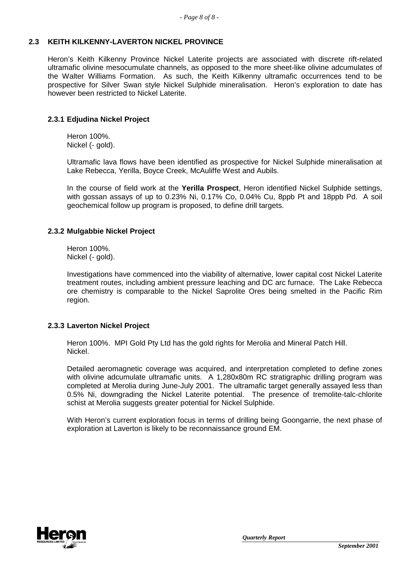## **2.3 KEITH KILKENNY-LAVERTON NICKEL PROVINCE**

Heron's Keith Kilkenny Province Nickel Laterite projects are associated with discrete rift-related ultramafic olivine mesocumulate channels, as opposed to the more sheet-like olivine adcumulates of the Walter Williams Formation. As such, the Keith Kilkenny ultramafic occurrences tend to be prospective for Silver Swan style Nickel Sulphide mineralisation. Heron's exploration to date has however been restricted to Nickel Laterite.

# **2.3.1 Edjudina Nickel Project**

Heron 100%. Nickel (- gold).

Ultramafic lava flows have been identified as prospective for Nickel Sulphide mineralisation at Lake Rebecca, Yerilla, Boyce Creek, McAuliffe West and Aubils.

In the course of field work at the **Yerilla Prospect**, Heron identified Nickel Sulphide settings, with gossan assays of up to 0.23% Ni, 0.17% Co, 0.04% Cu, 8ppb Pt and 18ppb Pd. A soil geochemical follow up program is proposed, to define drill targets.

# **2.3.2 Mulgabbie Nickel Project**

Heron 100%. Nickel (- gold).

Investigations have commenced into the viability of alternative, lower capital cost Nickel Laterite treatment routes, including ambient pressure leaching and DC arc furnace. The Lake Rebecca ore chemistry is comparable to the Nickel Saprolite Ores being smelted in the Pacific Rim region.

### **2.3.3 Laverton Nickel Project**

Heron 100%. MPI Gold Pty Ltd has the gold rights for Merolia and Mineral Patch Hill. Nickel.

Detailed aeromagnetic coverage was acquired, and interpretation completed to define zones with olivine adcumulate ultramafic units. A 1,280x80m RC stratigraphic drilling program was completed at Merolia during June-July 2001. The ultramafic target generally assayed less than 0.5% Ni, downgrading the Nickel Laterite potential. The presence of tremolite-talc-chlorite schist at Merolia suggests greater potential for Nickel Sulphide.

With Heron's current exploration focus in terms of drilling being Goongarrie, the next phase of exploration at Laverton is likely to be reconnaissance ground EM.

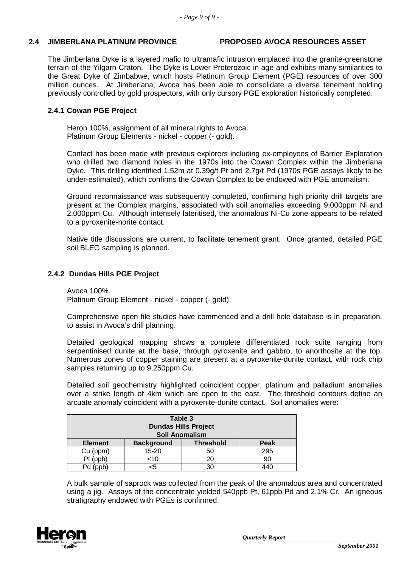# **2.4 JIMBERLANA PLATINUM PROVINCE PROPOSED AVOCA RESOURCES ASSET**

The Jimberlana Dyke is a layered mafic to ultramafic intrusion emplaced into the granite-greenstone terrain of the Yilgarn Craton. The Dyke is Lower Proterozoic in age and exhibits many similarities to the Great Dyke of Zimbabwe, which hosts Platinum Group Element (PGE) resources of over 300 million ounces. At Jimberlana, Avoca has been able to consolidate a diverse tenement holding previously controlled by gold prospectors, with only cursory PGE exploration historically completed.

# **2.4.1 Cowan PGE Project**

Heron 100%, assignment of all mineral rights to Avoca. Platinum Group Elements - nickel - copper (- gold).

Contact has been made with previous explorers including ex-employees of Barrier Exploration who drilled two diamond holes in the 1970s into the Cowan Complex within the Jimberlana Dyke. This drilling identified 1.52m at 0.39g/t Pt and 2.7g/t Pd (1970s PGE assays likely to be under-estimated), which confirms the Cowan Complex to be endowed with PGE anomalism.

Ground reconnaissance was subsequently completed, confirming high priority drill targets are present at the Complex margins, associated with soil anomalies exceeding 9,000ppm Ni and 2,000ppm Cu. Although intensely lateritised, the anomalous Ni-Cu zone appears to be related to a pyroxenite-norite contact.

Native title discussions are current, to facilitate tenement grant. Once granted, detailed PGE soil BLEG sampling is planned.

# **2.4.2 Dundas Hills PGE Project**

Avoca 100%. Platinum Group Element - nickel - copper (- gold).

Comprehensive open file studies have commenced and a drill hole database is in preparation, to assist in Avoca's drill planning.

Detailed geological mapping shows a complete differentiated rock suite ranging from serpentinised dunite at the base, through pyroxenite and gabbro, to anorthosite at the top. Numerous zones of copper staining are present at a pyroxenite-dunite contact, with rock chip samples returning up to 9,250ppm Cu.

Detailed soil geochemistry highlighted coincident copper, platinum and palladium anomalies over a strike length of 4km which are open to the east. The threshold contours define an arcuate anomaly coincident with a pyroxenite-dunite contact. Soil anomalies were:

| Table 3<br><b>Dundas Hills Project</b><br><b>Soil Anomalism</b> |                   |                  |      |  |
|-----------------------------------------------------------------|-------------------|------------------|------|--|
| <b>Element</b>                                                  | <b>Background</b> | <b>Threshold</b> | Peak |  |
| Cu (ppm)                                                        | 15-20             | 50               | 295  |  |
| $Pt$ (ppb)                                                      | <10               | 20               | 90   |  |
| Pd                                                              |                   | 30               |      |  |

A bulk sample of saprock was collected from the peak of the anomalous area and concentrated using a jig. Assays of the concentrate yielded 540ppb Pt, 61ppb Pd and 2.1% Cr. An igneous stratigraphy endowed with PGEs is confirmed.

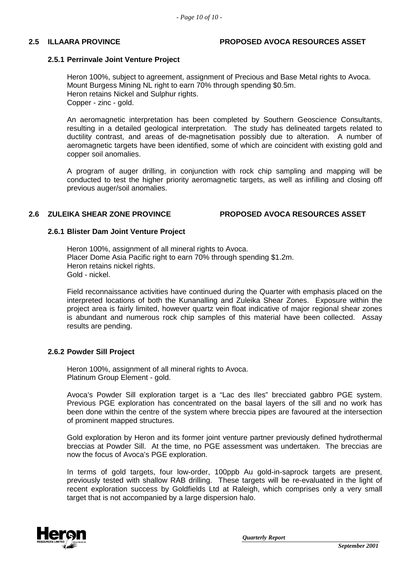### **2.5 ILLAARA PROVINCE PROPOSED AVOCA RESOURCES ASSET**

### **2.5.1 Perrinvale Joint Venture Project**

Heron 100%, subject to agreement, assignment of Precious and Base Metal rights to Avoca. Mount Burgess Mining NL right to earn 70% through spending \$0.5m. Heron retains Nickel and Sulphur rights. Copper - zinc - gold.

An aeromagnetic interpretation has been completed by Southern Geoscience Consultants, resulting in a detailed geological interpretation. The study has delineated targets related to ductility contrast, and areas of de-magnetisation possibly due to alteration. A number of aeromagnetic targets have been identified, some of which are coincident with existing gold and copper soil anomalies.

A program of auger drilling, in conjunction with rock chip sampling and mapping will be conducted to test the higher priority aeromagnetic targets, as well as infilling and closing off previous auger/soil anomalies.

### **2.6 ZULEIKA SHEAR ZONE PROVINCE PROPOSED AVOCA RESOURCES ASSET**

### **2.6.1 Blister Dam Joint Venture Project**

Heron 100%, assignment of all mineral rights to Avoca. Placer Dome Asia Pacific right to earn 70% through spending \$1.2m. Heron retains nickel rights. Gold - nickel.

Field reconnaissance activities have continued during the Quarter with emphasis placed on the interpreted locations of both the Kunanalling and Zuleika Shear Zones. Exposure within the project area is fairly limited, however quartz vein float indicative of major regional shear zones is abundant and numerous rock chip samples of this material have been collected. Assay results are pending.

### **2.6.2 Powder Sill Project**

Heron 100%, assignment of all mineral rights to Avoca. Platinum Group Element - gold.

Avoca's Powder Sill exploration target is a "Lac des Iles" brecciated gabbro PGE system. Previous PGE exploration has concentrated on the basal layers of the sill and no work has been done within the centre of the system where breccia pipes are favoured at the intersection of prominent mapped structures.

Gold exploration by Heron and its former joint venture partner previously defined hydrothermal breccias at Powder Sill. At the time, no PGE assessment was undertaken. The breccias are now the focus of Avoca's PGE exploration.

In terms of gold targets, four low-order, 100ppb Au gold-in-saprock targets are present, previously tested with shallow RAB drilling. These targets will be re-evaluated in the light of recent exploration success by Goldfields Ltd at Raleigh, which comprises only a very small target that is not accompanied by a large dispersion halo.

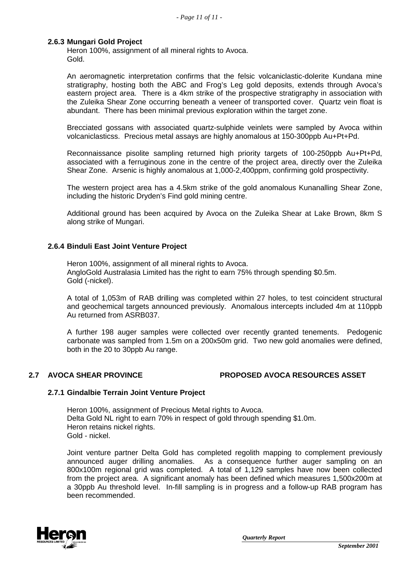### **2.6.3 Mungari Gold Project**

Heron 100%, assignment of all mineral rights to Avoca. Gold.

An aeromagnetic interpretation confirms that the felsic volcaniclastic-dolerite Kundana mine stratigraphy, hosting both the ABC and Frog's Leg gold deposits, extends through Avoca's eastern project area. There is a 4km strike of the prospective stratigraphy in association with the Zuleika Shear Zone occurring beneath a veneer of transported cover. Quartz vein float is abundant. There has been minimal previous exploration within the target zone.

Brecciated gossans with associated quartz-sulphide veinlets were sampled by Avoca within volcaniclasticss. Precious metal assays are highly anomalous at 150-300ppb Au+Pt+Pd.

Reconnaissance pisolite sampling returned high priority targets of 100-250ppb Au+Pt+Pd, associated with a ferruginous zone in the centre of the project area, directly over the Zuleika Shear Zone. Arsenic is highly anomalous at 1,000-2,400ppm, confirming gold prospectivity.

The western project area has a 4.5km strike of the gold anomalous Kunanalling Shear Zone, including the historic Dryden's Find gold mining centre.

Additional ground has been acquired by Avoca on the Zuleika Shear at Lake Brown, 8km S along strike of Mungari.

### **2.6.4 Binduli East Joint Venture Project**

Heron 100%, assignment of all mineral rights to Avoca. AngloGold Australasia Limited has the right to earn 75% through spending \$0.5m. Gold (-nickel).

A total of 1,053m of RAB drilling was completed within 27 holes, to test coincident structural and geochemical targets announced previously. Anomalous intercepts included 4m at 110ppb Au returned from ASRB037.

A further 198 auger samples were collected over recently granted tenements. Pedogenic carbonate was sampled from 1.5m on a 200x50m grid. Two new gold anomalies were defined, both in the 20 to 30ppb Au range.

### **2.7 AVOCA SHEAR PROVINCE PROPOSED AVOCA RESOURCES ASSET**

### **2.7.1 Gindalbie Terrain Joint Venture Project**

Heron 100%, assignment of Precious Metal rights to Avoca. Delta Gold NL right to earn 70% in respect of gold through spending \$1.0m. Heron retains nickel rights. Gold - nickel.

Joint venture partner Delta Gold has completed regolith mapping to complement previously announced auger drilling anomalies. As a consequence further auger sampling on an 800x100m regional grid was completed. A total of 1,129 samples have now been collected from the project area. A significant anomaly has been defined which measures 1,500x200m at a 30ppb Au threshold level. In-fill sampling is in progress and a follow-up RAB program has been recommended.

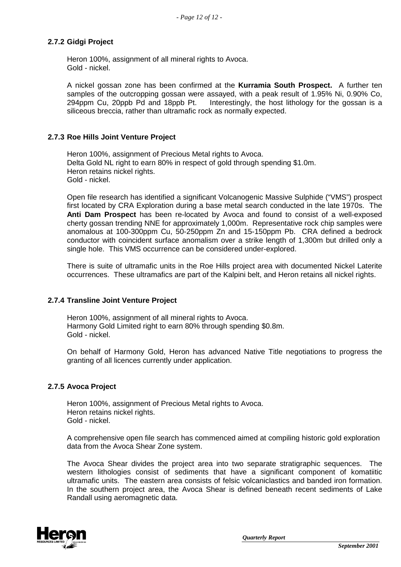# **2.7.2 Gidgi Project**

Heron 100%, assignment of all mineral rights to Avoca. Gold - nickel.

A nickel gossan zone has been confirmed at the **Kurramia South Prospect.** A further ten samples of the outcropping gossan were assayed, with a peak result of 1.95% Ni, 0.90% Co, 294ppm Cu, 20ppb Pd and 18ppb Pt. Interestingly, the host lithology for the gossan is a siliceous breccia, rather than ultramafic rock as normally expected.

## **2.7.3 Roe Hills Joint Venture Project**

Heron 100%, assignment of Precious Metal rights to Avoca. Delta Gold NL right to earn 80% in respect of gold through spending \$1.0m. Heron retains nickel rights. Gold - nickel.

Open file research has identified a significant Volcanogenic Massive Sulphide ("VMS") prospect first located by CRA Exploration during a base metal search conducted in the late 1970s. The **Anti Dam Prospect** has been re-located by Avoca and found to consist of a well-exposed cherty gossan trending NNE for approximately 1,000m. Representative rock chip samples were anomalous at 100-300ppm Cu, 50-250ppm Zn and 15-150ppm Pb. CRA defined a bedrock conductor with coincident surface anomalism over a strike length of 1,300m but drilled only a single hole. This VMS occurrence can be considered under-explored.

There is suite of ultramafic units in the Roe Hills project area with documented Nickel Laterite occurrences. These ultramafics are part of the Kalpini belt, and Heron retains all nickel rights.

### **2.7.4 Transline Joint Venture Project**

Heron 100%, assignment of all mineral rights to Avoca. Harmony Gold Limited right to earn 80% through spending \$0.8m. Gold - nickel.

On behalf of Harmony Gold, Heron has advanced Native Title negotiations to progress the granting of all licences currently under application.

### **2.7.5 Avoca Project**

Heron 100%, assignment of Precious Metal rights to Avoca. Heron retains nickel rights. Gold - nickel.

A comprehensive open file search has commenced aimed at compiling historic gold exploration data from the Avoca Shear Zone system.

The Avoca Shear divides the project area into two separate stratigraphic sequences. The western lithologies consist of sediments that have a significant component of komatiitic ultramafic units. The eastern area consists of felsic volcaniclastics and banded iron formation. In the southern project area, the Avoca Shear is defined beneath recent sediments of Lake Randall using aeromagnetic data.

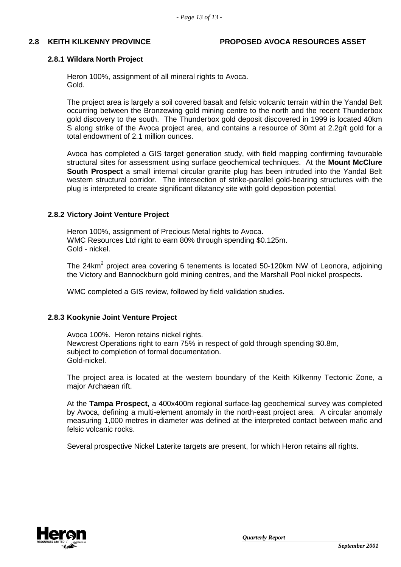#### **2.8 KEITH KILKENNY PROVINCE PROPOSED AVOCA RESOURCES ASSET**

#### **2.8.1 Wildara North Project**

Heron 100%, assignment of all mineral rights to Avoca. Gold.

The project area is largely a soil covered basalt and felsic volcanic terrain within the Yandal Belt occurring between the Bronzewing gold mining centre to the north and the recent Thunderbox gold discovery to the south. The Thunderbox gold deposit discovered in 1999 is located 40km S along strike of the Avoca project area, and contains a resource of 30mt at 2.2g/t gold for a total endowment of 2.1 million ounces.

Avoca has completed a GIS target generation study, with field mapping confirming favourable structural sites for assessment using surface geochemical techniques. At the **Mount McClure South Prospect** a small internal circular granite plug has been intruded into the Yandal Belt western structural corridor. The intersection of strike-parallel gold-bearing structures with the plug is interpreted to create significant dilatancy site with gold deposition potential.

#### **2.8.2 Victory Joint Venture Project**

Heron 100%, assignment of Precious Metal rights to Avoca. WMC Resources Ltd right to earn 80% through spending \$0.125m. Gold - nickel.

The 24km<sup>2</sup> project area covering 6 tenements is located 50-120km NW of Leonora, adjoining the Victory and Bannockburn gold mining centres, and the Marshall Pool nickel prospects.

WMC completed a GIS review, followed by field validation studies.

### **2.8.3 Kookynie Joint Venture Project**

Avoca 100%. Heron retains nickel rights. Newcrest Operations right to earn 75% in respect of gold through spending \$0.8m, subject to completion of formal documentation. Gold-nickel.

The project area is located at the western boundary of the Keith Kilkenny Tectonic Zone, a major Archaean rift.

At the **Tampa Prospect,** a 400x400m regional surface-lag geochemical survey was completed by Avoca, defining a multi-element anomaly in the north-east project area. A circular anomaly measuring 1,000 metres in diameter was defined at the interpreted contact between mafic and felsic volcanic rocks.

Several prospective Nickel Laterite targets are present, for which Heron retains all rights.

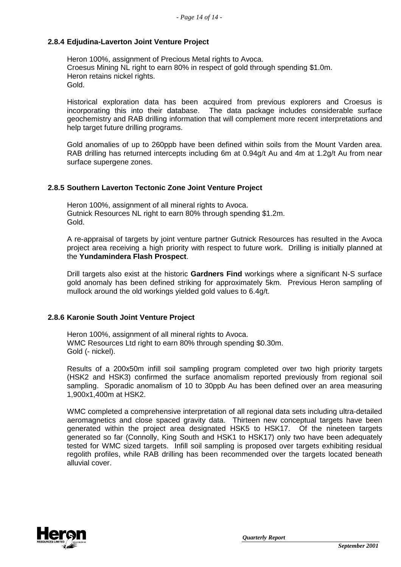## **2.8.4 Edjudina-Laverton Joint Venture Project**

Heron 100%, assignment of Precious Metal rights to Avoca. Croesus Mining NL right to earn 80% in respect of gold through spending \$1.0m. Heron retains nickel rights. Gold.

Historical exploration data has been acquired from previous explorers and Croesus is incorporating this into their database. The data package includes considerable surface geochemistry and RAB drilling information that will complement more recent interpretations and help target future drilling programs.

Gold anomalies of up to 260ppb have been defined within soils from the Mount Varden area. RAB drilling has returned intercepts including 6m at 0.94g/t Au and 4m at 1.2g/t Au from near surface supergene zones.

### **2.8.5 Southern Laverton Tectonic Zone Joint Venture Project**

Heron 100%, assignment of all mineral rights to Avoca. Gutnick Resources NL right to earn 80% through spending \$1.2m. Gold.

A re-appraisal of targets by joint venture partner Gutnick Resources has resulted in the Avoca project area receiving a high priority with respect to future work. Drilling is initially planned at the **Yundamindera Flash Prospect**.

Drill targets also exist at the historic **Gardners Find** workings where a significant N-S surface gold anomaly has been defined striking for approximately 5km. Previous Heron sampling of mullock around the old workings yielded gold values to 6.4g/t.

### **2.8.6 Karonie South Joint Venture Project**

Heron 100%, assignment of all mineral rights to Avoca. WMC Resources Ltd right to earn 80% through spending \$0.30m. Gold (- nickel).

Results of a 200x50m infill soil sampling program completed over two high priority targets (HSK2 and HSK3) confirmed the surface anomalism reported previously from regional soil sampling. Sporadic anomalism of 10 to 30ppb Au has been defined over an area measuring 1,900x1,400m at HSK2.

WMC completed a comprehensive interpretation of all regional data sets including ultra-detailed aeromagnetics and close spaced gravity data. Thirteen new conceptual targets have been generated within the project area designated HSK5 to HSK17. Of the nineteen targets generated so far (Connolly, King South and HSK1 to HSK17) only two have been adequately tested for WMC sized targets. Infill soil sampling is proposed over targets exhibiting residual regolith profiles, while RAB drilling has been recommended over the targets located beneath alluvial cover.

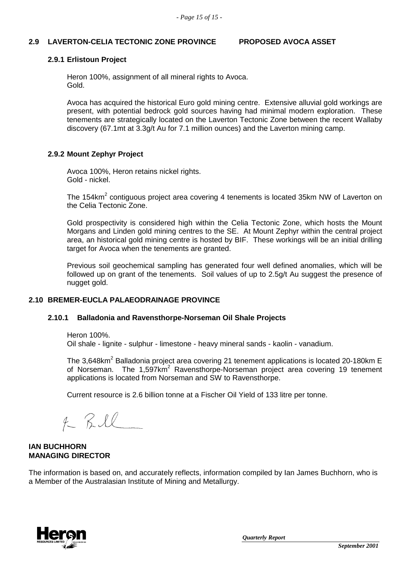### **2.9 LAVERTON-CELIA TECTONIC ZONE PROVINCE PROPOSED AVOCA ASSET**

### **2.9.1 Erlistoun Project**

Heron 100%, assignment of all mineral rights to Avoca. Gold.

Avoca has acquired the historical Euro gold mining centre. Extensive alluvial gold workings are present, with potential bedrock gold sources having had minimal modern exploration. These tenements are strategically located on the Laverton Tectonic Zone between the recent Wallaby discovery (67.1mt at 3.3g/t Au for 7.1 million ounces) and the Laverton mining camp.

# **2.9.2 Mount Zephyr Project**

Avoca 100%, Heron retains nickel rights. Gold - nickel.

The 154km<sup>2</sup> contiguous project area covering 4 tenements is located 35km NW of Laverton on the Celia Tectonic Zone.

Gold prospectivity is considered high within the Celia Tectonic Zone, which hosts the Mount Morgans and Linden gold mining centres to the SE. At Mount Zephyr within the central project area, an historical gold mining centre is hosted by BIF. These workings will be an initial drilling target for Avoca when the tenements are granted.

Previous soil geochemical sampling has generated four well defined anomalies, which will be followed up on grant of the tenements. Soil values of up to 2.5g/t Au suggest the presence of nugget gold.

### **2.10 BREMER-EUCLA PALAEODRAINAGE PROVINCE**

### **2.10.1 Balladonia and Ravensthorpe-Norseman Oil Shale Projects**

Heron 100%.

Oil shale - lignite - sulphur - limestone - heavy mineral sands - kaolin - vanadium.

The 3.648km<sup>2</sup> Balladonia project area covering 21 tenement applications is located 20-180km E of Norseman. The  $1,597km^2$  Ravensthorpe-Norseman project area covering 19 tenement applications is located from Norseman and SW to Ravensthorpe.

Current resource is 2.6 billion tonne at a Fischer Oil Yield of 133 litre per tonne.

 $f$  Bill

#### **IAN BUCHHORN MANAGING DIRECTOR**

The information is based on, and accurately reflects, information compiled by Ian James Buchhorn, who is a Member of the Australasian Institute of Mining and Metallurgy.

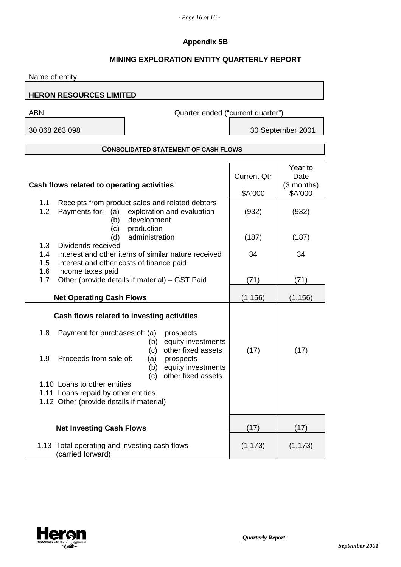# **Appendix 5B**

# **MINING EXPLORATION ENTITY QUARTERLY REPORT**

| Name of entity                                                                                                                                                                           |                                                                                                                                                                                                 |                               |                                            |
|------------------------------------------------------------------------------------------------------------------------------------------------------------------------------------------|-------------------------------------------------------------------------------------------------------------------------------------------------------------------------------------------------|-------------------------------|--------------------------------------------|
| <b>HERON RESOURCES LIMITED</b>                                                                                                                                                           |                                                                                                                                                                                                 |                               |                                            |
| <b>ABN</b>                                                                                                                                                                               | Quarter ended ("current quarter")                                                                                                                                                               |                               |                                            |
| 30 068 263 098                                                                                                                                                                           |                                                                                                                                                                                                 |                               | 30 September 2001                          |
|                                                                                                                                                                                          |                                                                                                                                                                                                 |                               |                                            |
|                                                                                                                                                                                          | <b>CONSOLIDATED STATEMENT OF CASH FLOWS</b>                                                                                                                                                     |                               |                                            |
| Cash flows related to operating activities                                                                                                                                               |                                                                                                                                                                                                 | <b>Current Qtr</b><br>\$A'000 | Year to<br>Date<br>$(3$ months)<br>\$A'000 |
| 1.1<br>1.2<br>Payments for: (a)<br>(b)                                                                                                                                                   | Receipts from product sales and related debtors<br>exploration and evaluation<br>development                                                                                                    | (932)                         | (932)                                      |
| (c)<br>(d)                                                                                                                                                                               | production<br>administration                                                                                                                                                                    | (187)                         | (187)                                      |
| 1.3<br>Dividends received<br>1.4<br>1.5<br>Interest and other costs of finance paid                                                                                                      | Interest and other items of similar nature received                                                                                                                                             | 34                            | 34                                         |
| 1.6<br>Income taxes paid<br>1.7                                                                                                                                                          | Other (provide details if material) - GST Paid                                                                                                                                                  | (71)                          | (71)                                       |
| <b>Net Operating Cash Flows</b>                                                                                                                                                          |                                                                                                                                                                                                 | (1, 156)                      | (1, 156)                                   |
| 1.8<br>Payment for purchases of: (a)<br>1.9<br>Proceeds from sale of:<br>1.10 Loans to other entities<br>1.11 Loans repaid by other entities<br>1.12 Other (provide details if material) | Cash flows related to investing activities<br>prospects<br>equity investments<br>(b)<br>other fixed assets<br>(c)<br>(a)<br>prospects<br>equity investments<br>(b)<br>other fixed assets<br>(C) | (17)                          | (17)                                       |
| <b>Net Investing Cash Flows</b>                                                                                                                                                          |                                                                                                                                                                                                 | (17)                          | (17)                                       |
| 1.13 Total operating and investing cash flows<br>(carried forward)                                                                                                                       |                                                                                                                                                                                                 | (1, 173)                      | (1, 173)                                   |

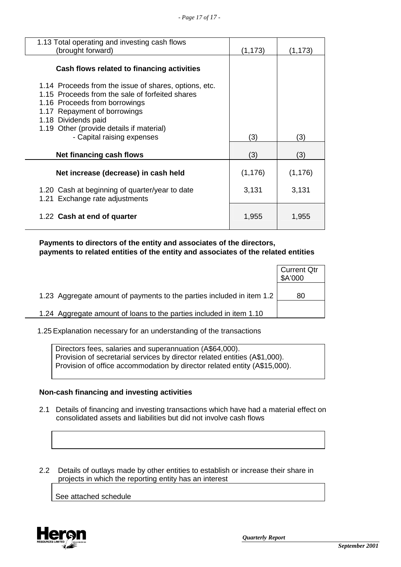| 1.13 Total operating and investing cash flows<br>(brought forward)                                                                                                                                                                                                         | (1, 173) | (1,173)  |
|----------------------------------------------------------------------------------------------------------------------------------------------------------------------------------------------------------------------------------------------------------------------------|----------|----------|
| Cash flows related to financing activities                                                                                                                                                                                                                                 |          |          |
| 1.14 Proceeds from the issue of shares, options, etc.<br>1.15 Proceeds from the sale of forfeited shares<br>1.16 Proceeds from borrowings<br>1.17 Repayment of borrowings<br>1.18 Dividends paid<br>1.19 Other (provide details if material)<br>- Capital raising expenses | (3)      | (3)      |
| Net financing cash flows                                                                                                                                                                                                                                                   | (3)      | (3)      |
| Net increase (decrease) in cash held                                                                                                                                                                                                                                       | (1, 176) | (1, 176) |
| 1.20 Cash at beginning of quarter/year to date<br>1.21 Exchange rate adjustments                                                                                                                                                                                           | 3,131    | 3,131    |
| 1.22 Cash at end of quarter                                                                                                                                                                                                                                                | 1,955    | 1,955    |

 **Payments to directors of the entity and associates of the directors, payments to related entities of the entity and associates of the related entities** 

|                                                                       | <b>Current Qtr</b><br>\$A'000 |
|-----------------------------------------------------------------------|-------------------------------|
| 1.23 Aggregate amount of payments to the parties included in item 1.2 | 80                            |
| 1.24 Aggregate amount of loans to the parties included in item 1.10   |                               |

1.25 Explanation necessary for an understanding of the transactions

Directors fees, salaries and superannuation (A\$64,000). Provision of secretarial services by director related entities (A\$1,000). Provision of office accommodation by director related entity (A\$15,000).

### **Non-cash financing and investing activities**

- 2.1 Details of financing and investing transactions which have had a material effect on consolidated assets and liabilities but did not involve cash flows
- 2.2 Details of outlays made by other entities to establish or increase their share in projects in which the reporting entity has an interest

See attached schedule

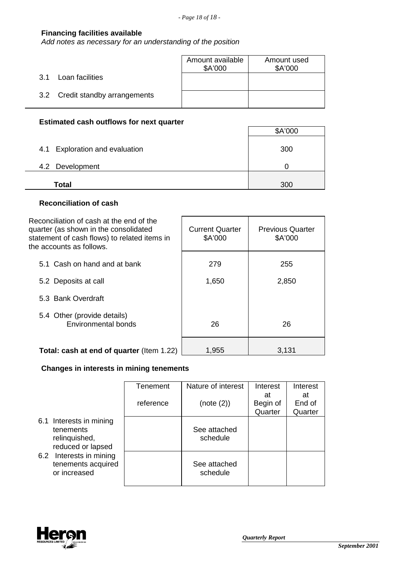$\mathbf{r}$ 

# **Financing facilities available**

*Add notes as necessary for an understanding of the position*

|                                 | Amount available<br>\$A'000 | Amount used<br>\$A'000 |
|---------------------------------|-----------------------------|------------------------|
| Loan facilities<br>.3.1         |                             |                        |
| 3.2 Credit standby arrangements |                             |                        |

# **Estimated cash outflows for next quarter**

|                                | \$A'000 |
|--------------------------------|---------|
| 4.1 Exploration and evaluation | 300     |
| 4.2 Development                |         |
| <b>Total</b>                   | 300     |

# **Reconciliation of cash**

| Reconciliation of cash at the end of the<br>quarter (as shown in the consolidated<br>statement of cash flows) to related items in<br>the accounts as follows. | <b>Current Quarter</b><br>\$A'000 | <b>Previous Quarter</b><br>\$A'000 |
|---------------------------------------------------------------------------------------------------------------------------------------------------------------|-----------------------------------|------------------------------------|
| 5.1 Cash on hand and at bank                                                                                                                                  | 279                               | 255                                |
| 5.2 Deposits at call                                                                                                                                          | 1,650                             | 2,850                              |
| 5.3 Bank Overdraft                                                                                                                                            |                                   |                                    |
| 5.4 Other (provide details)<br>Environmental bonds                                                                                                            | 26                                | 26                                 |
| Total: cash at end of quarter (Item 1.22)                                                                                                                     | 1,955                             | 3.131                              |

# **Changes in interests in mining tenements**

|  |                                                                                                                                                | Tenement  | Nature of interest       | Interest                  | Interest                |
|--|------------------------------------------------------------------------------------------------------------------------------------------------|-----------|--------------------------|---------------------------|-------------------------|
|  |                                                                                                                                                | reference | (note (2))               | at<br>Begin of<br>Quarter | at<br>End of<br>Quarter |
|  | 6.1 Interests in mining<br>tenements<br>relinquished,<br>reduced or lapsed<br>Interests in mining<br>6.2<br>tenements acquired<br>or increased |           | See attached<br>schedule |                           |                         |
|  |                                                                                                                                                |           | See attached<br>schedule |                           |                         |

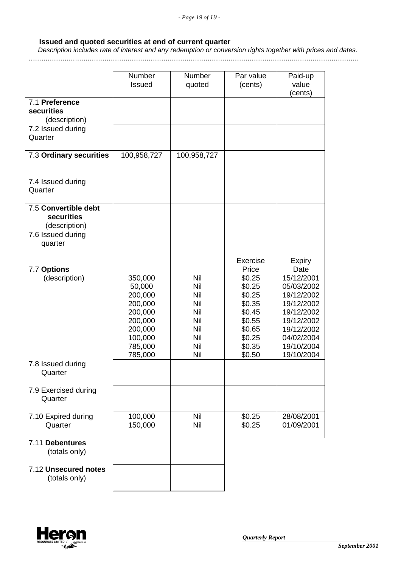# **Issued and quoted securities at end of current quarter**

 *Description includes rate of interest and any redemption or conversion rights together with prices and dates.*

.............................................................................................................................................................

|                                                     | Number<br>Issued                                                                                          | Number<br>quoted                                                                 | Par value<br>(cents)                                                                                                  | Paid-up<br>value<br>(cents)                                                                                                                                |
|-----------------------------------------------------|-----------------------------------------------------------------------------------------------------------|----------------------------------------------------------------------------------|-----------------------------------------------------------------------------------------------------------------------|------------------------------------------------------------------------------------------------------------------------------------------------------------|
| 7.1 Preference<br>securities<br>(description)       |                                                                                                           |                                                                                  |                                                                                                                       |                                                                                                                                                            |
| 7.2 Issued during<br>Quarter                        |                                                                                                           |                                                                                  |                                                                                                                       |                                                                                                                                                            |
| 7.3 Ordinary securities                             | 100,958,727                                                                                               | 100,958,727                                                                      |                                                                                                                       |                                                                                                                                                            |
| 7.4 Issued during<br>Quarter                        |                                                                                                           |                                                                                  |                                                                                                                       |                                                                                                                                                            |
| 7.5 Convertible debt<br>securities<br>(description) |                                                                                                           |                                                                                  |                                                                                                                       |                                                                                                                                                            |
| 7.6 Issued during<br>quarter                        |                                                                                                           |                                                                                  |                                                                                                                       |                                                                                                                                                            |
| 7.7 Options<br>(description)                        | 350,000<br>50,000<br>200,000<br>200,000<br>200,000<br>200,000<br>200,000<br>100,000<br>785,000<br>785,000 | Nil<br>Nil<br><b>Nil</b><br>Nil<br>Nil<br>Nil<br>Nil<br><b>Nil</b><br>Nil<br>Nil | Exercise<br>Price<br>\$0.25<br>\$0.25<br>\$0.25<br>\$0.35<br>\$0.45<br>\$0.55<br>\$0.65<br>\$0.25<br>\$0.35<br>\$0.50 | Expiry<br>Date<br>15/12/2001<br>05/03/2002<br>19/12/2002<br>19/12/2002<br>19/12/2002<br>19/12/2002<br>19/12/2002<br>04/02/2004<br>19/10/2004<br>19/10/2004 |
| 7.8 Issued during<br>Quarter                        |                                                                                                           |                                                                                  |                                                                                                                       |                                                                                                                                                            |
| 7.9 Exercised during<br>Quarter                     |                                                                                                           |                                                                                  |                                                                                                                       |                                                                                                                                                            |
| 7.10 Expired during<br>Quarter                      | 100,000<br>150,000                                                                                        | Nil<br>Nil                                                                       | \$0.25<br>\$0.25                                                                                                      | 28/08/2001<br>01/09/2001                                                                                                                                   |
| 7.11 Debentures<br>(totals only)                    |                                                                                                           |                                                                                  |                                                                                                                       |                                                                                                                                                            |
| 7.12 Unsecured notes<br>(totals only)               |                                                                                                           |                                                                                  |                                                                                                                       |                                                                                                                                                            |

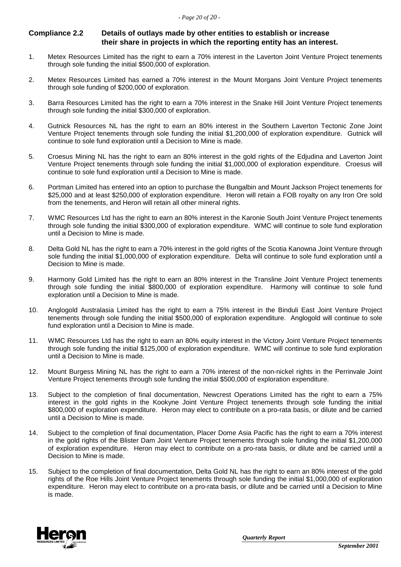#### **Compliance 2.2 Details of outlays made by other entities to establish or increase their share in projects in which the reporting entity has an interest.**

- 1. Metex Resources Limited has the right to earn a 70% interest in the Laverton Joint Venture Project tenements through sole funding the initial \$500,000 of exploration.
- 2. Metex Resources Limited has earned a 70% interest in the Mount Morgans Joint Venture Project tenements through sole funding of \$200,000 of exploration.
- 3. Barra Resources Limited has the right to earn a 70% interest in the Snake Hill Joint Venture Project tenements through sole funding the initial \$300,000 of exploration.
- 4. Gutnick Resources NL has the right to earn an 80% interest in the Southern Laverton Tectonic Zone Joint Venture Project tenements through sole funding the initial \$1,200,000 of exploration expenditure. Gutnick will continue to sole fund exploration until a Decision to Mine is made.
- 5. Croesus Mining NL has the right to earn an 80% interest in the gold rights of the Edjudina and Laverton Joint Venture Project tenements through sole funding the initial \$1,000,000 of exploration expenditure. Croesus will continue to sole fund exploration until a Decision to Mine is made.
- 6. Portman Limited has entered into an option to purchase the Bungalbin and Mount Jackson Project tenements for \$25,000 and at least \$250,000 of exploration expenditure. Heron will retain a FOB royalty on any Iron Ore sold from the tenements, and Heron will retain all other mineral rights.
- 7. WMC Resources Ltd has the right to earn an 80% interest in the Karonie South Joint Venture Project tenements through sole funding the initial \$300,000 of exploration expenditure. WMC will continue to sole fund exploration until a Decision to Mine is made.
- 8. Delta Gold NL has the right to earn a 70% interest in the gold rights of the Scotia Kanowna Joint Venture through sole funding the initial \$1,000,000 of exploration expenditure. Delta will continue to sole fund exploration until a Decision to Mine is made.
- 9. Harmony Gold Limited has the right to earn an 80% interest in the Transline Joint Venture Project tenements through sole funding the initial \$800,000 of exploration expenditure. Harmony will continue to sole fund exploration until a Decision to Mine is made.
- 10. Anglogold Australasia Limited has the right to earn a 75% interest in the Binduli East Joint Venture Project tenements through sole funding the initial \$500,000 of exploration expenditure. Anglogold will continue to sole fund exploration until a Decision to Mine is made.
- 11. WMC Resources Ltd has the right to earn an 80% equity interest in the Victory Joint Venture Project tenements through sole funding the initial \$125,000 of exploration expenditure. WMC will continue to sole fund exploration until a Decision to Mine is made.
- 12. Mount Burgess Mining NL has the right to earn a 70% interest of the non-nickel rights in the Perrinvale Joint Venture Project tenements through sole funding the initial \$500,000 of exploration expenditure.
- 13. Subject to the completion of final documentation, Newcrest Operations Limited has the right to earn a 75% interest in the gold rights in the Kookyne Joint Venture Project tenements through sole funding the initial \$800,000 of exploration expenditure. Heron may elect to contribute on a pro-rata basis, or dilute and be carried until a Decision to Mine is made.
- 14. Subject to the completion of final documentation, Placer Dome Asia Pacific has the right to earn a 70% interest in the gold rights of the Blister Dam Joint Venture Project tenements through sole funding the initial \$1,200,000 of exploration expenditure. Heron may elect to contribute on a pro-rata basis, or dilute and be carried until a Decision to Mine is made.
- 15. Subject to the completion of final documentation, Delta Gold NL has the right to earn an 80% interest of the gold rights of the Roe Hills Joint Venture Project tenements through sole funding the initial \$1,000,000 of exploration expenditure. Heron may elect to contribute on a pro-rata basis, or dilute and be carried until a Decision to Mine is made.

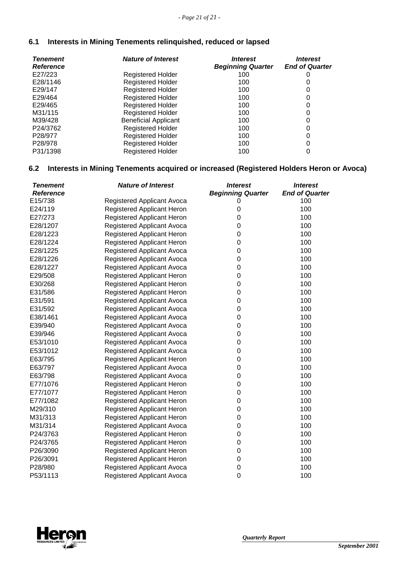# **6.1 Interests in Mining Tenements relinquished, reduced or lapsed**

| <b>Tenement</b><br><b>Reference</b> | <b>Nature of Interest</b>   | <i><b>Interest</b></i><br><b>Beginning Quarter</b> | <b>Interest</b><br><b>End of Quarter</b> |
|-------------------------------------|-----------------------------|----------------------------------------------------|------------------------------------------|
| E27/223                             | <b>Registered Holder</b>    | 100                                                |                                          |
| E28/1146                            | <b>Registered Holder</b>    | 100                                                |                                          |
| E29/147                             | <b>Registered Holder</b>    | 100                                                | 0                                        |
| E29/464                             | <b>Registered Holder</b>    | 100                                                | 0                                        |
| E29/465                             | <b>Registered Holder</b>    | 100                                                | 0                                        |
| M31/115                             | <b>Registered Holder</b>    | 100                                                | 0                                        |
| M39/428                             | <b>Beneficial Applicant</b> | 100                                                | 0                                        |
| P24/3762                            | <b>Registered Holder</b>    | 100                                                | 0                                        |
| P <sub>28</sub> /977                | <b>Registered Holder</b>    | 100                                                | 0                                        |
| P <sub>28</sub> /978                | <b>Registered Holder</b>    | 100                                                | 0                                        |
| P31/1398                            | <b>Registered Holder</b>    | 100                                                | 0                                        |

# **6.2 Interests in Mining Tenements acquired or increased (Registered Holders Heron or Avoca)**

| <b>Tenement</b>  | <b>Nature of Interest</b>         | <b>Interest</b>          | <i><b>Interest</b></i> |
|------------------|-----------------------------------|--------------------------|------------------------|
| <b>Reference</b> |                                   | <b>Beginning Quarter</b> | <b>End of Quarter</b>  |
| E15/738          | Registered Applicant Avoca        | O                        | 100                    |
| E24/119          | <b>Registered Applicant Heron</b> | 0                        | 100                    |
| E27/273          | <b>Registered Applicant Heron</b> | 0                        | 100                    |
| E28/1207         | <b>Registered Applicant Avoca</b> | 0                        | 100                    |
| E28/1223         | Registered Applicant Heron        | 0                        | 100                    |
| E28/1224         | Registered Applicant Heron        | 0                        | 100                    |
| E28/1225         | <b>Registered Applicant Avoca</b> | 0                        | 100                    |
| E28/1226         | Registered Applicant Avoca        | 0                        | 100                    |
| E28/1227         | <b>Registered Applicant Avoca</b> | 0                        | 100                    |
| E29/508          | Registered Applicant Heron        | $\mathbf 0$              | 100                    |
| E30/268          | Registered Applicant Heron        | 0                        | 100                    |
| E31/586          | Registered Applicant Heron        | 0                        | 100                    |
| E31/591          | Registered Applicant Avoca        | 0                        | 100                    |
| E31/592          | Registered Applicant Avoca        | 0                        | 100                    |
| E38/1461         | <b>Registered Applicant Avoca</b> | 0                        | 100                    |
| E39/940          | Registered Applicant Avoca        | 0                        | 100                    |
| E39/946          | Registered Applicant Avoca        | 0                        | 100                    |
| E53/1010         | <b>Registered Applicant Avoca</b> | 0                        | 100                    |
| E53/1012         | Registered Applicant Avoca        | 0                        | 100                    |
| E63/795          | Registered Applicant Heron        | 0                        | 100                    |
| E63/797          | Registered Applicant Avoca        | $\mathbf 0$              | 100                    |
| E63/798          | Registered Applicant Avoca        | $\boldsymbol{0}$         | 100                    |
| E77/1076         | Registered Applicant Heron        | 0                        | 100                    |
| E77/1077         | Registered Applicant Heron        | 0                        | 100                    |
| E77/1082         | Registered Applicant Heron        | $\mathbf 0$              | 100                    |
| M29/310          | Registered Applicant Heron        | 0                        | 100                    |
| M31/313          | <b>Registered Applicant Heron</b> | 0                        | 100                    |
| M31/314          | Registered Applicant Avoca        | 0                        | 100                    |
| P24/3763         | Registered Applicant Heron        | 0                        | 100                    |
| P24/3765         | Registered Applicant Heron        | 0                        | 100                    |
| P26/3090         | Registered Applicant Heron        | 0                        | 100                    |
| P26/3091         | Registered Applicant Heron        | 0                        | 100                    |
| P28/980          | Registered Applicant Avoca        | 0                        | 100                    |
| P53/1113         | <b>Registered Applicant Avoca</b> | $\mathbf 0$              | 100                    |